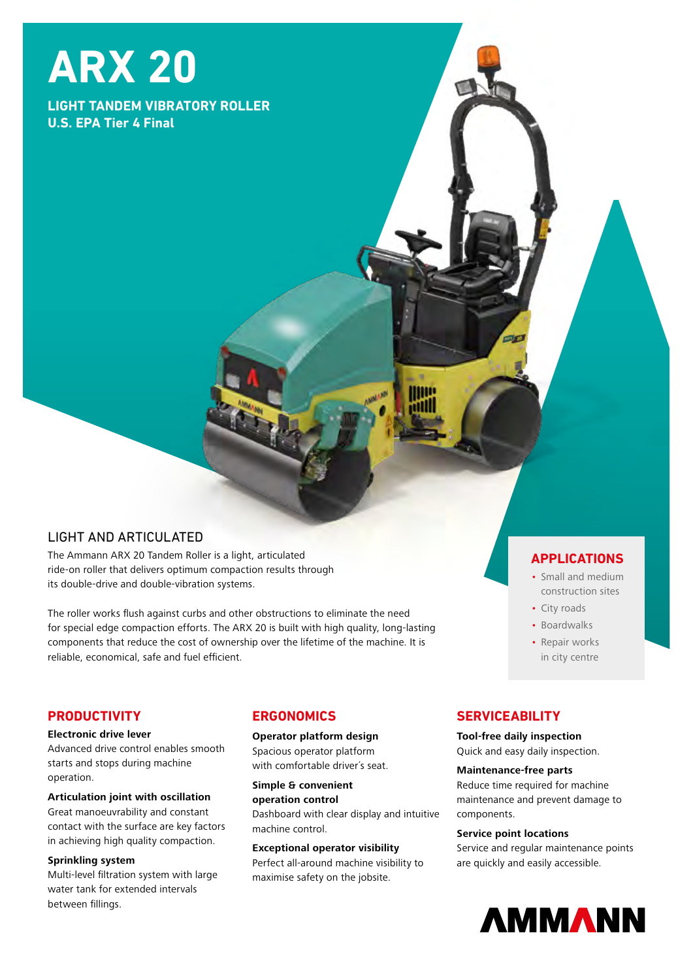# **ARX 20**

# **LIGHT TANDEM VIBRATORY ROLLER U.S. EPA Tier 4 Final**

# LIGHT AND ARTICULATED

The Ammann ARX 20 Tandem Roller is a light, articulated ride-on roller that delivers optimum compaction results through its double-drive and double-vibration systems.

The roller works flush against curbs and other obstructions to eliminate the need for special edge compaction efforts. The ARX 20 is built with high quality, long-lasting components that reduce the cost of ownership over the lifetime of the machine. It is reliable, economical, safe and fuel efficient.

# **APPLICATIONS**

- Small and medium construction sites
- City roads
- Boardwalks
- Repair works in city centre

# **PRODUCTIVITY**

#### **Electronic drive lever**

Advanced drive control enables smooth starts and stops during machine operation.

#### **Articulation joint with oscillation**  Great manoeuvrability and constant contact with the surface are key factors in achieving high quality compaction.

# **Sprinkling system**

Multi-level filtration system with large water tank for extended intervals between fillings.

# **ERGONOMICS**

#### **Operator platform design**

Spacious operator platform with comfortable driver´s seat.

**Simple & convenient operation control**  Dashboard with clear display and intuitive machine control.

#### **Exceptional operator visibility**

Perfect all-around machine visibility to maximise safety on the jobsite.

# **SERVICEABILITY**

**Tool-free daily inspection** Quick and easy daily inspection.

#### **Maintenance-free parts**

Reduce time required for machine maintenance and prevent damage to components.

#### **Service point locations**

Service and regular maintenance points are quickly and easily accessible.